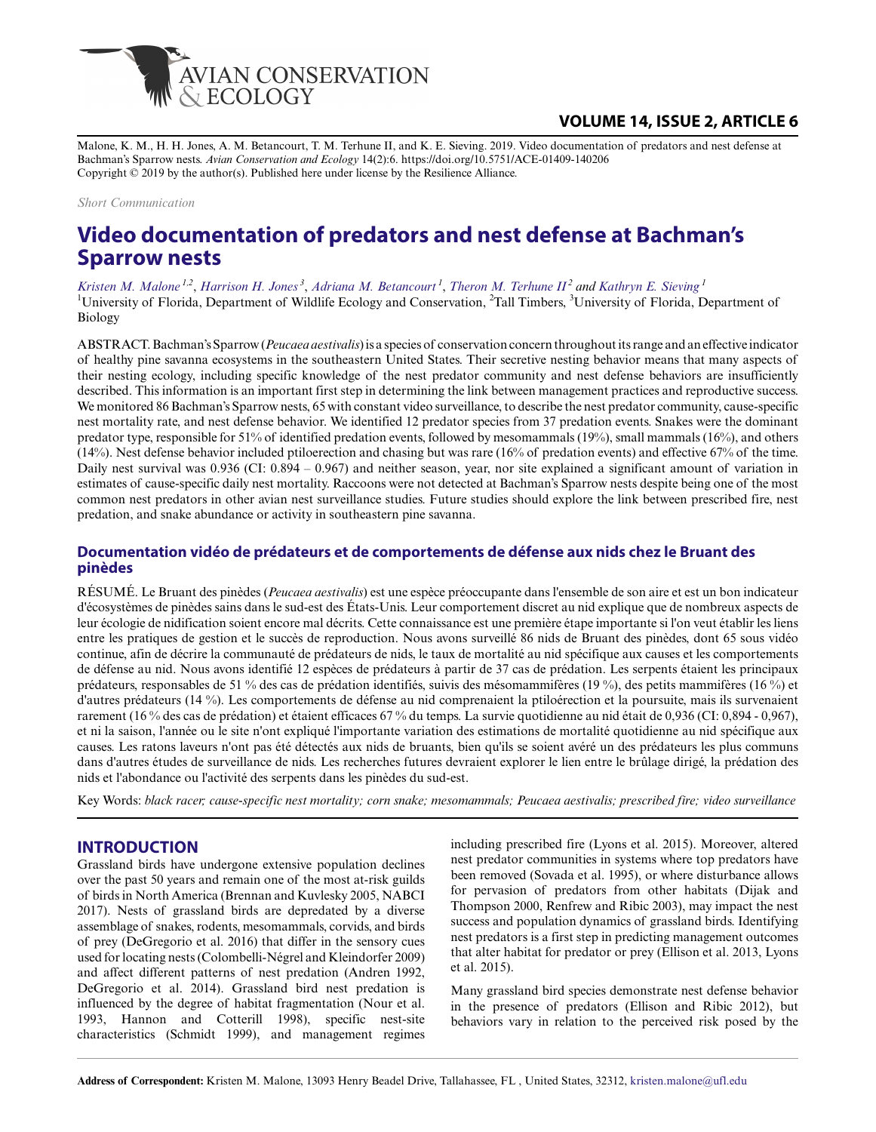

## **VOLUME 14, ISSUE 2, ARTICLE 6**

Malone, K. M., H. H. Jones, A. M. Betancourt, T. M. Terhune II, and K. E. Sieving. 2019. Video documentation of predators and nest defense at Bachman's Sparrow nests. *Avian Conservation and Ecology* 14(2):6. https://doi.org/10.5751/ACE-01409-140206 Copyright © 2019 by the author(s). Published here under license by the Resilience Alliance.

*Short Communication*

# **Video documentation of predators and nest defense at Bachman's Sparrow nests**

*[Kristen M. Malone](mailto:kristen.malone@ufl.edu) 1,2* , *[Harrison H. Jones](mailto:harrisonhjones@ufl.edu)<sup>3</sup>* , *[Adriana M. Betancourt](mailto:ambwildlife@gmail.com)<sup>1</sup>* , *[Theron M. Terhune II](mailto:tterhune@talltimbers.org)<sup>2</sup> and [Kathryn E. Sieving](mailto:chucao@ufl.edu)<sup>1</sup>* <sup>1</sup>University of Florida, Department of Wildlife Ecology and Conservation, <sup>2</sup>Tall Timbers, <sup>3</sup>University of Florida, Department of Biology

ABSTRACT. Bachman's Sparrow (*Peucaea aestivalis*) is a species of conservation concern throughout its range and an effective indicator of healthy pine savanna ecosystems in the southeastern United States. Their secretive nesting behavior means that many aspects of their nesting ecology, including specific knowledge of the nest predator community and nest defense behaviors are insufficiently described. This information is an important first step in determining the link between management practices and reproductive success. We monitored 86 Bachman's Sparrow nests, 65 with constant video surveillance, to describe the nest predator community, cause-specific nest mortality rate, and nest defense behavior. We identified 12 predator species from 37 predation events. Snakes were the dominant predator type, responsible for 51% of identified predation events, followed by mesomammals (19%), small mammals (16%), and others (14%). Nest defense behavior included ptiloerection and chasing but was rare (16% of predation events) and effective 67% of the time. Daily nest survival was 0.936 (CI: 0.894 – 0.967) and neither season, year, nor site explained a significant amount of variation in estimates of cause-specific daily nest mortality. Raccoons were not detected at Bachman's Sparrow nests despite being one of the most common nest predators in other avian nest surveillance studies. Future studies should explore the link between prescribed fire, nest predation, and snake abundance or activity in southeastern pine savanna.

## **Documentation vidéo de prédateurs et de comportements de défense aux nids chez le Bruant des pinèdes**

RÉSUMÉ. Le Bruant des pinèdes (*Peucaea aestivalis*) est une espèce préoccupante dans l'ensemble de son aire et est un bon indicateur d'écosystèmes de pinèdes sains dans le sud-est des États-Unis. Leur comportement discret au nid explique que de nombreux aspects de leur écologie de nidification soient encore mal décrits. Cette connaissance est une première étape importante si l'on veut établir les liens entre les pratiques de gestion et le succès de reproduction. Nous avons surveillé 86 nids de Bruant des pinèdes, dont 65 sous vidéo continue, afin de décrire la communauté de prédateurs de nids, le taux de mortalité au nid spécifique aux causes et les comportements de défense au nid. Nous avons identifié 12 espèces de prédateurs à partir de 37 cas de prédation. Les serpents étaient les principaux prédateurs, responsables de 51 % des cas de prédation identifiés, suivis des mésomammifères (19 %), des petits mammifères (16 %) et d'autres prédateurs (14 %). Les comportements de défense au nid comprenaient la ptiloérection et la poursuite, mais ils survenaient rarement (16 % des cas de prédation) et étaient efficaces 67 % du temps. La survie quotidienne au nid était de 0,936 (CI: 0,894 - 0,967), et ni la saison, l'année ou le site n'ont expliqué l'importante variation des estimations de mortalité quotidienne au nid spécifique aux causes. Les ratons laveurs n'ont pas été détectés aux nids de bruants, bien qu'ils se soient avéré un des prédateurs les plus communs dans d'autres études de surveillance de nids. Les recherches futures devraient explorer le lien entre le brûlage dirigé, la prédation des nids et l'abondance ou l'activité des serpents dans les pinèdes du sud-est.

Key Words: *black racer; cause-specific nest mortality; corn snake; mesomammals; Peucaea aestivalis; prescribed fire; video surveillance*

#### **INTRODUCTION**

Grassland birds have undergone extensive population declines over the past 50 years and remain one of the most at-risk guilds of birds in North America (Brennan and Kuvlesky 2005, NABCI 2017). Nests of grassland birds are depredated by a diverse assemblage of snakes, rodents, mesomammals, corvids, and birds of prey (DeGregorio et al. 2016) that differ in the sensory cues used for locating nests (Colombelli-Négrel and Kleindorfer 2009) and affect different patterns of nest predation (Andren 1992, DeGregorio et al. 2014). Grassland bird nest predation is influenced by the degree of habitat fragmentation (Nour et al. 1993, Hannon and Cotterill 1998), specific nest-site characteristics (Schmidt 1999), and management regimes

including prescribed fire (Lyons et al. 2015). Moreover, altered nest predator communities in systems where top predators have been removed (Sovada et al. 1995), or where disturbance allows for pervasion of predators from other habitats (Dijak and Thompson 2000, Renfrew and Ribic 2003), may impact the nest success and population dynamics of grassland birds. Identifying nest predators is a first step in predicting management outcomes that alter habitat for predator or prey (Ellison et al. 2013, Lyons et al. 2015).

Many grassland bird species demonstrate nest defense behavior in the presence of predators (Ellison and Ribic 2012), but behaviors vary in relation to the perceived risk posed by the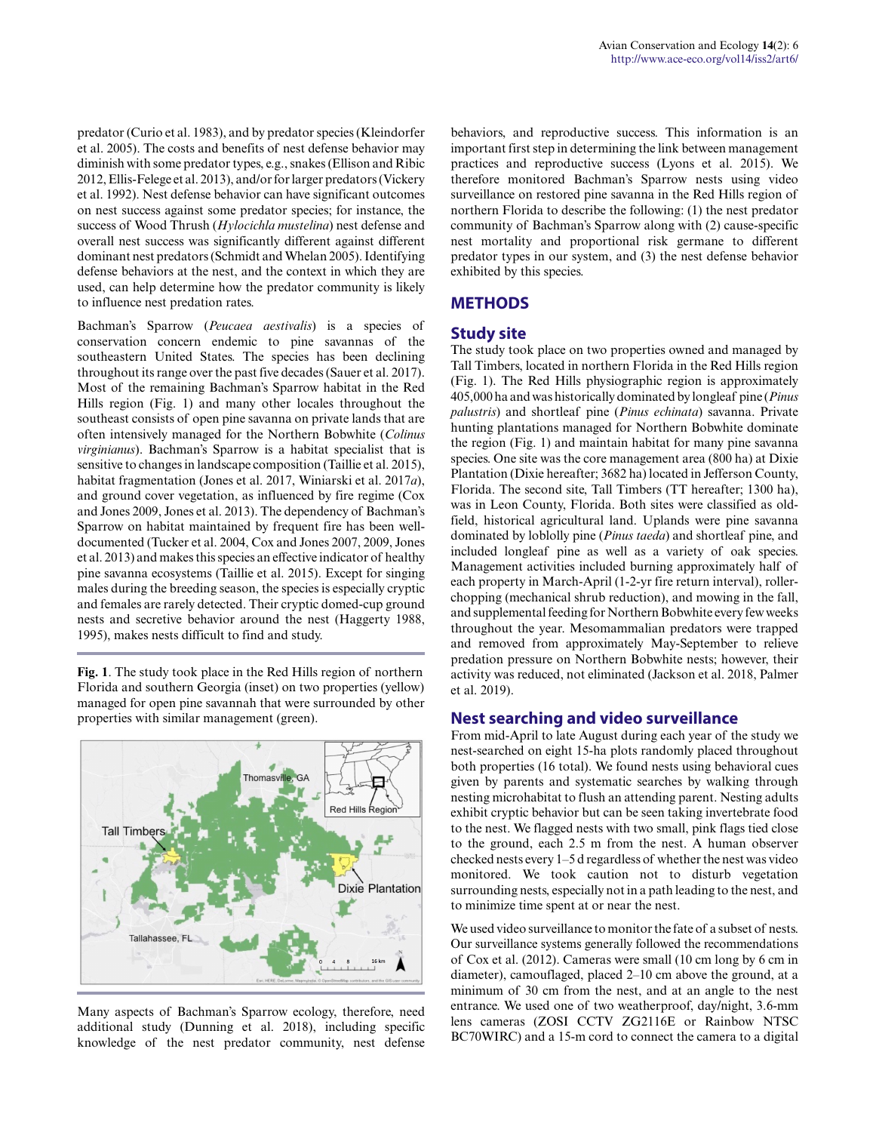predator (Curio et al. 1983), and by predator species (Kleindorfer et al. 2005). The costs and benefits of nest defense behavior may diminish with some predator types, e.g., snakes (Ellison and Ribic 2012, Ellis-Felege et al. 2013), and/or for larger predators (Vickery et al. 1992). Nest defense behavior can have significant outcomes on nest success against some predator species; for instance, the success of Wood Thrush (*Hylocichla mustelina*) nest defense and overall nest success was significantly different against different dominant nest predators (Schmidt and Whelan 2005). Identifying defense behaviors at the nest, and the context in which they are used, can help determine how the predator community is likely to influence nest predation rates.

Bachman's Sparrow (*Peucaea aestivalis*) is a species of conservation concern endemic to pine savannas of the southeastern United States. The species has been declining throughout its range over the past five decades (Sauer et al. 2017). Most of the remaining Bachman's Sparrow habitat in the Red Hills region (Fig. 1) and many other locales throughout the southeast consists of open pine savanna on private lands that are often intensively managed for the Northern Bobwhite (*Colinus virginianus*). Bachman's Sparrow is a habitat specialist that is sensitive to changes in landscape composition (Taillie et al. 2015), habitat fragmentation (Jones et al. 2017, Winiarski et al. 2017*a*), and ground cover vegetation, as influenced by fire regime (Cox and Jones 2009, Jones et al. 2013). The dependency of Bachman's Sparrow on habitat maintained by frequent fire has been welldocumented (Tucker et al. 2004, Cox and Jones 2007, 2009, Jones et al. 2013) and makes this species an effective indicator of healthy pine savanna ecosystems (Taillie et al. 2015). Except for singing males during the breeding season, the species is especially cryptic and females are rarely detected. Their cryptic domed-cup ground nests and secretive behavior around the nest (Haggerty 1988, 1995), makes nests difficult to find and study.

**Fig. 1**. The study took place in the Red Hills region of northern Florida and southern Georgia (inset) on two properties (yellow) managed for open pine savannah that were surrounded by other properties with similar management (green).



Many aspects of Bachman's Sparrow ecology, therefore, need additional study (Dunning et al. 2018), including specific knowledge of the nest predator community, nest defense

behaviors, and reproductive success. This information is an important first step in determining the link between management practices and reproductive success (Lyons et al. 2015). We therefore monitored Bachman's Sparrow nests using video surveillance on restored pine savanna in the Red Hills region of northern Florida to describe the following: (1) the nest predator community of Bachman's Sparrow along with (2) cause-specific nest mortality and proportional risk germane to different predator types in our system, and (3) the nest defense behavior exhibited by this species.

## **METHODS**

## **Study site**

The study took place on two properties owned and managed by Tall Timbers, located in northern Florida in the Red Hills region (Fig. 1). The Red Hills physiographic region is approximately 405,000 ha and was historically dominated by longleaf pine (*Pinus palustris*) and shortleaf pine (*Pinus echinata*) savanna. Private hunting plantations managed for Northern Bobwhite dominate the region (Fig. 1) and maintain habitat for many pine savanna species. One site was the core management area (800 ha) at Dixie Plantation (Dixie hereafter; 3682 ha) located in Jefferson County, Florida. The second site, Tall Timbers (TT hereafter; 1300 ha), was in Leon County, Florida. Both sites were classified as oldfield, historical agricultural land. Uplands were pine savanna dominated by loblolly pine (*Pinus taeda*) and shortleaf pine, and included longleaf pine as well as a variety of oak species. Management activities included burning approximately half of each property in March-April (1-2-yr fire return interval), rollerchopping (mechanical shrub reduction), and mowing in the fall, and supplemental feeding for Northern Bobwhite every few weeks throughout the year. Mesomammalian predators were trapped and removed from approximately May-September to relieve predation pressure on Northern Bobwhite nests; however, their activity was reduced, not eliminated (Jackson et al. 2018, Palmer et al. 2019).

#### **Nest searching and video surveillance**

From mid-April to late August during each year of the study we nest-searched on eight 15-ha plots randomly placed throughout both properties (16 total). We found nests using behavioral cues given by parents and systematic searches by walking through nesting microhabitat to flush an attending parent. Nesting adults exhibit cryptic behavior but can be seen taking invertebrate food to the nest. We flagged nests with two small, pink flags tied close to the ground, each 2.5 m from the nest. A human observer checked nests every 1–5 d regardless of whether the nest was video monitored. We took caution not to disturb vegetation surrounding nests, especially not in a path leading to the nest, and to minimize time spent at or near the nest.

We used video surveillance to monitor the fate of a subset of nests. Our surveillance systems generally followed the recommendations of Cox et al. (2012). Cameras were small (10 cm long by 6 cm in diameter), camouflaged, placed 2–10 cm above the ground, at a minimum of 30 cm from the nest, and at an angle to the nest entrance. We used one of two weatherproof, day/night, 3.6-mm lens cameras (ZOSI CCTV ZG2116E or Rainbow NTSC BC70WIRC) and a 15-m cord to connect the camera to a digital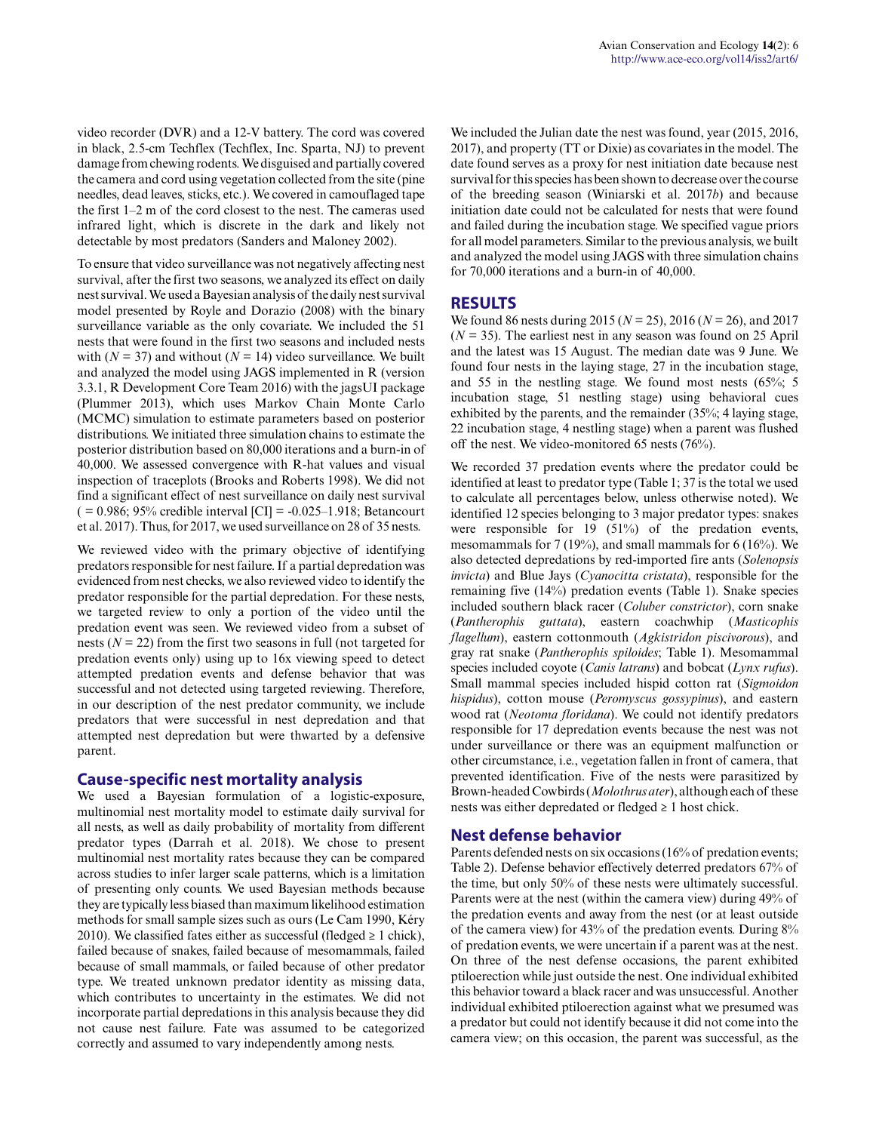video recorder (DVR) and a 12-V battery. The cord was covered in black, 2.5-cm Techflex (Techflex, Inc. Sparta, NJ) to prevent damage from chewing rodents. We disguised and partially covered the camera and cord using vegetation collected from the site (pine needles, dead leaves, sticks, etc.). We covered in camouflaged tape the first 1–2 m of the cord closest to the nest. The cameras used infrared light, which is discrete in the dark and likely not detectable by most predators (Sanders and Maloney 2002).

To ensure that video surveillance was not negatively affecting nest survival, after the first two seasons, we analyzed its effect on daily nest survival. We used a Bayesian analysis of the daily nest survival model presented by Royle and Dorazio (2008) with the binary surveillance variable as the only covariate. We included the 51 nests that were found in the first two seasons and included nests with  $(N = 37)$  and without  $(N = 14)$  video surveillance. We built and analyzed the model using JAGS implemented in R (version 3.3.1, R Development Core Team 2016) with the jagsUI package (Plummer 2013), which uses Markov Chain Monte Carlo (MCMC) simulation to estimate parameters based on posterior distributions. We initiated three simulation chains to estimate the posterior distribution based on 80,000 iterations and a burn-in of 40,000. We assessed convergence with R-hat values and visual inspection of traceplots (Brooks and Roberts 1998). We did not find a significant effect of nest surveillance on daily nest survival  $( = 0.986; 95\%$  credible interval  $|CI| = -0.025-1.918$ ; Betancourt et al. 2017). Thus, for 2017, we used surveillance on 28 of 35 nests.

We reviewed video with the primary objective of identifying predators responsible for nest failure. If a partial depredation was evidenced from nest checks, we also reviewed video to identify the predator responsible for the partial depredation. For these nests, we targeted review to only a portion of the video until the predation event was seen. We reviewed video from a subset of nests ( $N = 22$ ) from the first two seasons in full (not targeted for predation events only) using up to 16x viewing speed to detect attempted predation events and defense behavior that was successful and not detected using targeted reviewing. Therefore, in our description of the nest predator community, we include predators that were successful in nest depredation and that attempted nest depredation but were thwarted by a defensive parent.

#### **Cause-specific nest mortality analysis**

We used a Bayesian formulation of a logistic-exposure, multinomial nest mortality model to estimate daily survival for all nests, as well as daily probability of mortality from different predator types (Darrah et al. 2018). We chose to present multinomial nest mortality rates because they can be compared across studies to infer larger scale patterns, which is a limitation of presenting only counts. We used Bayesian methods because they are typically less biased than maximum likelihood estimation methods for small sample sizes such as ours (Le Cam 1990, Kéry 2010). We classified fates either as successful (fledged  $\geq 1$  chick), failed because of snakes, failed because of mesomammals, failed because of small mammals, or failed because of other predator type. We treated unknown predator identity as missing data, which contributes to uncertainty in the estimates. We did not incorporate partial depredations in this analysis because they did not cause nest failure. Fate was assumed to be categorized correctly and assumed to vary independently among nests.

We included the Julian date the nest was found, year (2015, 2016, 2017), and property (TT or Dixie) as covariates in the model. The date found serves as a proxy for nest initiation date because nest survival for this species has been shown to decrease over the course of the breeding season (Winiarski et al. 2017*b*) and because initiation date could not be calculated for nests that were found and failed during the incubation stage. We specified vague priors for all model parameters. Similar to the previous analysis, we built and analyzed the model using JAGS with three simulation chains for 70,000 iterations and a burn-in of 40,000.

## **RESULTS**

We found 86 nests during 2015 (*N* = 25), 2016 (*N* = 26), and 2017  $(N = 35)$ . The earliest nest in any season was found on 25 April and the latest was 15 August. The median date was 9 June. We found four nests in the laying stage, 27 in the incubation stage, and 55 in the nestling stage. We found most nests (65%; 5 incubation stage, 51 nestling stage) using behavioral cues exhibited by the parents, and the remainder (35%; 4 laying stage, 22 incubation stage, 4 nestling stage) when a parent was flushed off the nest. We video-monitored 65 nests (76%).

We recorded 37 predation events where the predator could be identified at least to predator type (Table 1; 37 is the total we used to calculate all percentages below, unless otherwise noted). We identified 12 species belonging to 3 major predator types: snakes were responsible for 19 (51%) of the predation events, mesomammals for 7 (19%), and small mammals for 6 (16%). We also detected depredations by red-imported fire ants (*Solenopsis invicta*) and Blue Jays (*Cyanocitta cristata*), responsible for the remaining five (14%) predation events (Table 1). Snake species included southern black racer (*Coluber constrictor*), corn snake (*Pantherophis guttata*), eastern coachwhip (*Masticophis flagellum*), eastern cottonmouth (*Agkistridon piscivorous*), and gray rat snake (*Pantherophis spiloides*; Table 1). Mesomammal species included coyote (*Canis latrans*) and bobcat (*Lynx rufus*). Small mammal species included hispid cotton rat (*Sigmoidon hispidus*), cotton mouse (*Peromyscus gossypinus*), and eastern wood rat (*Neotoma floridana*). We could not identify predators responsible for 17 depredation events because the nest was not under surveillance or there was an equipment malfunction or other circumstance, i.e., vegetation fallen in front of camera, that prevented identification. Five of the nests were parasitized by Brown-headed Cowbirds (*Molothrus ater*), although each of these nests was either depredated or fledged  $\geq 1$  host chick.

## **Nest defense behavior**

Parents defended nests on six occasions (16% of predation events; Table 2). Defense behavior effectively deterred predators 67% of the time, but only 50% of these nests were ultimately successful. Parents were at the nest (within the camera view) during 49% of the predation events and away from the nest (or at least outside of the camera view) for 43% of the predation events. During 8% of predation events, we were uncertain if a parent was at the nest. On three of the nest defense occasions, the parent exhibited ptiloerection while just outside the nest. One individual exhibited this behavior toward a black racer and was unsuccessful. Another individual exhibited ptiloerection against what we presumed was a predator but could not identify because it did not come into the camera view; on this occasion, the parent was successful, as the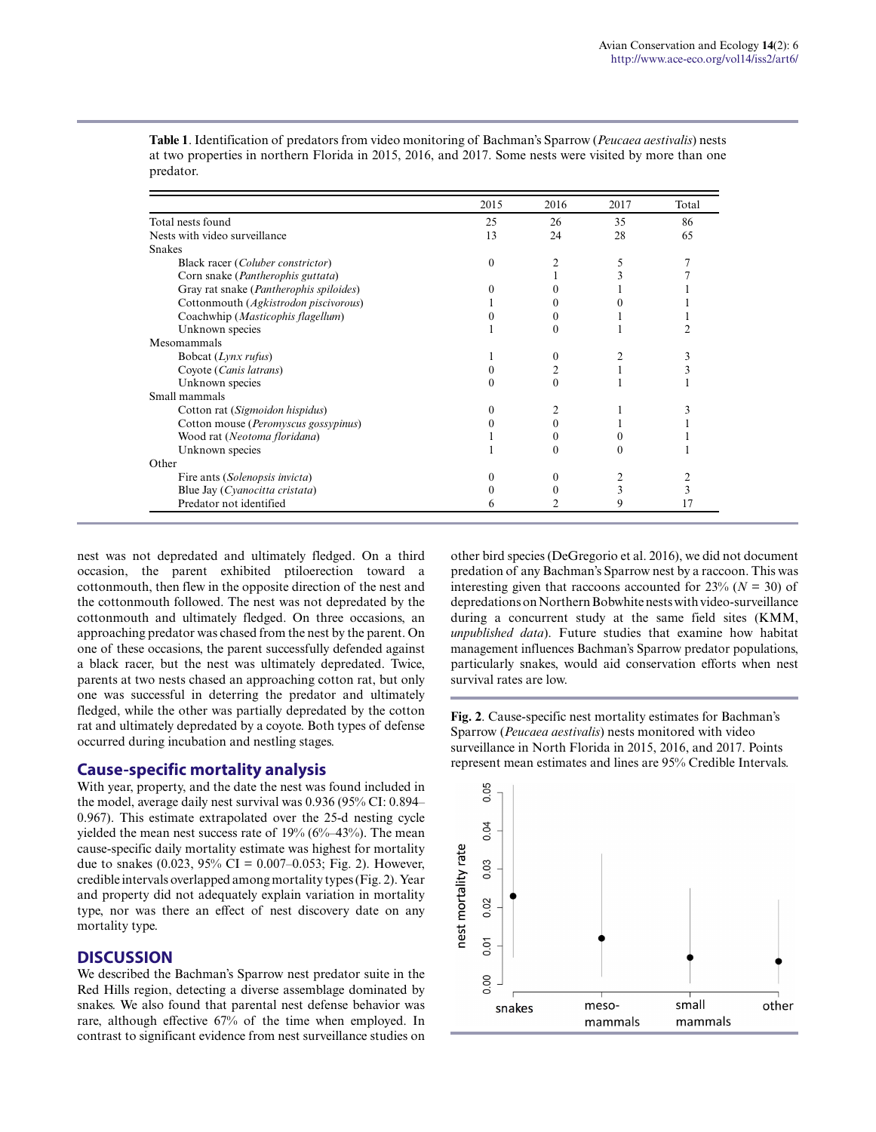|                                            | 2015     | 2016 | 2017 | Total |
|--------------------------------------------|----------|------|------|-------|
| Total nests found                          | 25       | 26   | 35   | 86    |
| Nests with video surveillance              | 13       | 24   | 28   | 65    |
| <b>Snakes</b>                              |          |      |      |       |
| Black racer (Coluber constrictor)          | $\Omega$ |      | 5    |       |
| Corn snake ( <i>Pantherophis guttata</i> ) |          |      |      |       |
| Gray rat snake (Pantherophis spiloides)    |          |      |      |       |
| Cottonmouth (Agkistrodon piscivorous)      |          |      |      |       |
| Coachwhip (Masticophis flagellum)          |          |      |      |       |
| Unknown species                            |          |      |      |       |
| Mesomammals                                |          |      |      |       |
| Bobcat (Lynx rufus)                        |          | 0    |      |       |
| Coyote (Canis latrans)                     |          |      |      |       |
| Unknown species                            |          | 0    |      |       |
| Small mammals                              |          |      |      |       |
| Cotton rat (Sigmoidon hispidus)            |          |      |      |       |
| Cotton mouse (Peromyscus gossypinus)       |          | 0    |      |       |
| Wood rat (Neotoma floridana)               |          |      |      |       |
| Unknown species                            |          |      |      |       |
| Other                                      |          |      |      |       |
| Fire ants (Solenopsis invicta)             |          |      |      |       |
| Blue Jay (Cyanocitta cristata)             |          |      |      |       |
| Predator not identified                    | 6        |      | 9    | 17    |

**Table 1**. Identification of predators from video monitoring of Bachman's Sparrow (*Peucaea aestivalis*) nests at two properties in northern Florida in 2015, 2016, and 2017. Some nests were visited by more than one predator.

nest was not depredated and ultimately fledged. On a third occasion, the parent exhibited ptiloerection toward a cottonmouth, then flew in the opposite direction of the nest and the cottonmouth followed. The nest was not depredated by the cottonmouth and ultimately fledged. On three occasions, an approaching predator was chased from the nest by the parent. On one of these occasions, the parent successfully defended against a black racer, but the nest was ultimately depredated. Twice, parents at two nests chased an approaching cotton rat, but only one was successful in deterring the predator and ultimately fledged, while the other was partially depredated by the cotton rat and ultimately depredated by a coyote. Both types of defense occurred during incubation and nestling stages.

#### **Cause-specific mortality analysis**

With year, property, and the date the nest was found included in the model, average daily nest survival was 0.936 (95% CI: 0.894– 0.967). This estimate extrapolated over the 25-d nesting cycle yielded the mean nest success rate of 19% (6%–43%). The mean cause-specific daily mortality estimate was highest for mortality due to snakes  $(0.023, 95\% \text{ CI} = 0.007-0.053; \text{Fig. 2)}$ . However, credible intervals overlapped among mortality types (Fig. 2). Year and property did not adequately explain variation in mortality type, nor was there an effect of nest discovery date on any mortality type.

## **DISCUSSION**

We described the Bachman's Sparrow nest predator suite in the Red Hills region, detecting a diverse assemblage dominated by snakes. We also found that parental nest defense behavior was rare, although effective 67% of the time when employed. In contrast to significant evidence from nest surveillance studies on other bird species (DeGregorio et al. 2016), we did not document predation of any Bachman's Sparrow nest by a raccoon. This was interesting given that raccoons accounted for  $23\%$  ( $N = 30$ ) of depredations on Northern Bobwhite nests with video-surveillance during a concurrent study at the same field sites (KMM, *unpublished data*). Future studies that examine how habitat management influences Bachman's Sparrow predator populations, particularly snakes, would aid conservation efforts when nest survival rates are low.

**Fig. 2**. Cause-specific nest mortality estimates for Bachman's Sparrow (*Peucaea aestivalis*) nests monitored with video surveillance in North Florida in 2015, 2016, and 2017. Points represent mean estimates and lines are 95% Credible Intervals.

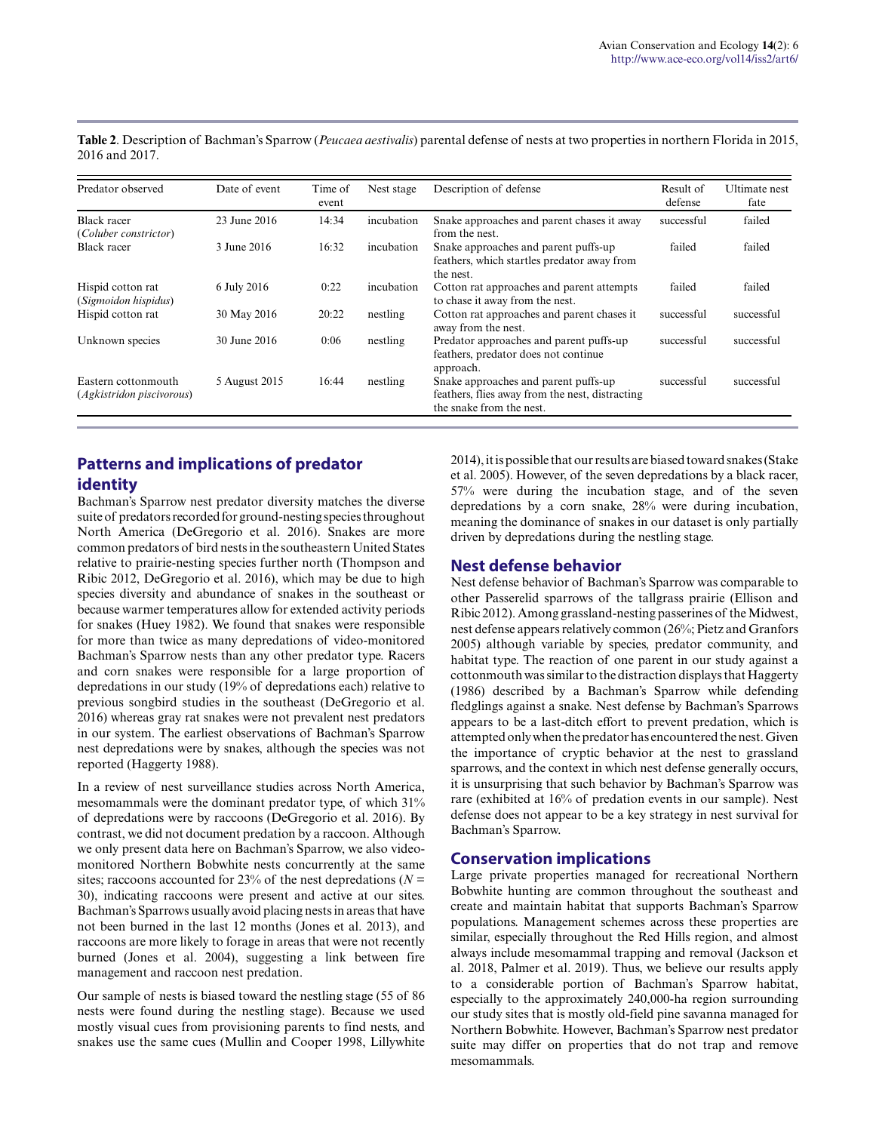**Table 2**. Description of Bachman's Sparrow (*Peucaea aestivalis*) parental defense of nests at two properties in northern Florida in 2015, 2016 and 2017.

| Predator observed                                | Date of event | Time of<br>event | Nest stage | Description of defense                                                                                              | Result of<br>defense | <b>Ultimate</b> nest<br>fate |
|--------------------------------------------------|---------------|------------------|------------|---------------------------------------------------------------------------------------------------------------------|----------------------|------------------------------|
| <b>Black racer</b><br>(Coluber constrictor)      | 23 June 2016  | 14:34            | incubation | Snake approaches and parent chases it away<br>from the nest.                                                        | successful           | failed                       |
| Black racer                                      | 3 June 2016   | 16:32            | incubation | Snake approaches and parent puffs-up<br>feathers, which startles predator away from<br>the nest.                    | failed               | failed                       |
| Hispid cotton rat<br>(Sigmoidon hispidus)        | 6 July 2016   | 0:22             | incubation | Cotton rat approaches and parent attempts<br>to chase it away from the nest.                                        | failed               | failed                       |
| Hispid cotton rat                                | 30 May 2016   | 20:22            | nestling   | Cotton rat approaches and parent chases it<br>away from the nest.                                                   | successful           | successful                   |
| Unknown species                                  | 30 June 2016  | 0:06             | nestling   | Predator approaches and parent puffs-up<br>feathers, predator does not continue<br>approach.                        | successful           | successful                   |
| Eastern cottonmouth<br>(Agkistridon piscivorous) | 5 August 2015 | 16:44            | nestling   | Snake approaches and parent puffs-up<br>feathers, flies away from the nest, distracting<br>the snake from the nest. | successful           | successful                   |

## **Patterns and implications of predator identity**

Bachman's Sparrow nest predator diversity matches the diverse suite of predators recorded for ground-nesting species throughout North America (DeGregorio et al. 2016). Snakes are more common predators of bird nests in the southeastern United States relative to prairie-nesting species further north (Thompson and Ribic 2012, DeGregorio et al. 2016), which may be due to high species diversity and abundance of snakes in the southeast or because warmer temperatures allow for extended activity periods for snakes (Huey 1982). We found that snakes were responsible for more than twice as many depredations of video-monitored Bachman's Sparrow nests than any other predator type. Racers and corn snakes were responsible for a large proportion of depredations in our study (19% of depredations each) relative to previous songbird studies in the southeast (DeGregorio et al. 2016) whereas gray rat snakes were not prevalent nest predators in our system. The earliest observations of Bachman's Sparrow nest depredations were by snakes, although the species was not reported (Haggerty 1988).

In a review of nest surveillance studies across North America, mesomammals were the dominant predator type, of which 31% of depredations were by raccoons (DeGregorio et al. 2016). By contrast, we did not document predation by a raccoon. Although we only present data here on Bachman's Sparrow, we also videomonitored Northern Bobwhite nests concurrently at the same sites; raccoons accounted for 23% of the nest depredations ( $N =$ 30), indicating raccoons were present and active at our sites. Bachman's Sparrows usually avoid placing nests in areas that have not been burned in the last 12 months (Jones et al. 2013), and raccoons are more likely to forage in areas that were not recently burned (Jones et al. 2004), suggesting a link between fire management and raccoon nest predation.

Our sample of nests is biased toward the nestling stage (55 of 86 nests were found during the nestling stage). Because we used mostly visual cues from provisioning parents to find nests, and snakes use the same cues (Mullin and Cooper 1998, Lillywhite 2014), it is possible that our results are biased toward snakes (Stake et al. 2005). However, of the seven depredations by a black racer, 57% were during the incubation stage, and of the seven depredations by a corn snake, 28% were during incubation, meaning the dominance of snakes in our dataset is only partially driven by depredations during the nestling stage.

## **Nest defense behavior**

Nest defense behavior of Bachman's Sparrow was comparable to other Passerelid sparrows of the tallgrass prairie (Ellison and Ribic 2012). Among grassland-nesting passerines of the Midwest, nest defense appears relatively common (26%; Pietz and Granfors 2005) although variable by species, predator community, and habitat type. The reaction of one parent in our study against a cottonmouth was similar to the distraction displays that Haggerty (1986) described by a Bachman's Sparrow while defending fledglings against a snake. Nest defense by Bachman's Sparrows appears to be a last-ditch effort to prevent predation, which is attempted only when the predator has encountered the nest. Given the importance of cryptic behavior at the nest to grassland sparrows, and the context in which nest defense generally occurs, it is unsurprising that such behavior by Bachman's Sparrow was rare (exhibited at 16% of predation events in our sample). Nest defense does not appear to be a key strategy in nest survival for Bachman's Sparrow.

## **Conservation implications**

Large private properties managed for recreational Northern Bobwhite hunting are common throughout the southeast and create and maintain habitat that supports Bachman's Sparrow populations. Management schemes across these properties are similar, especially throughout the Red Hills region, and almost always include mesomammal trapping and removal (Jackson et al. 2018, Palmer et al. 2019). Thus, we believe our results apply to a considerable portion of Bachman's Sparrow habitat, especially to the approximately 240,000-ha region surrounding our study sites that is mostly old-field pine savanna managed for Northern Bobwhite. However, Bachman's Sparrow nest predator suite may differ on properties that do not trap and remove mesomammals.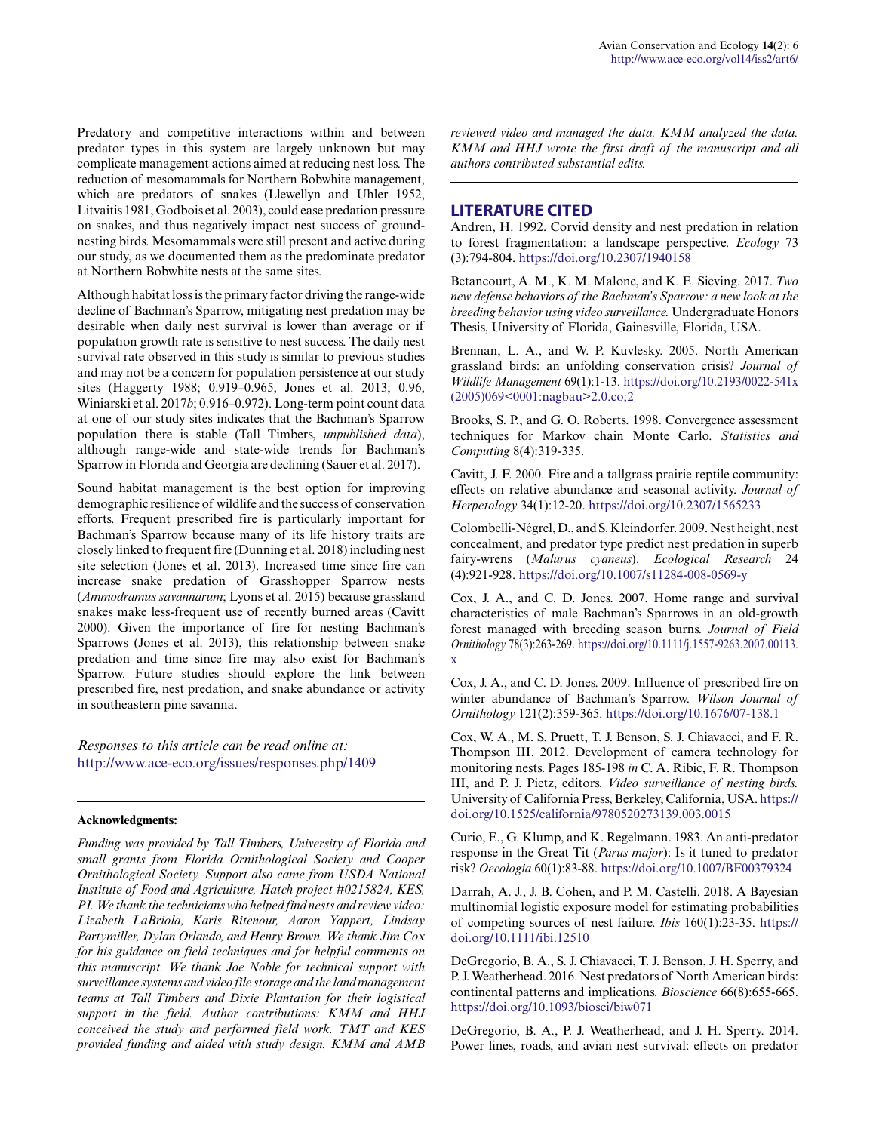Predatory and competitive interactions within and between predator types in this system are largely unknown but may complicate management actions aimed at reducing nest loss. The reduction of mesomammals for Northern Bobwhite management, which are predators of snakes (Llewellyn and Uhler 1952, Litvaitis 1981, Godbois et al. 2003), could ease predation pressure on snakes, and thus negatively impact nest success of groundnesting birds. Mesomammals were still present and active during our study, as we documented them as the predominate predator at Northern Bobwhite nests at the same sites.

Although habitat loss is the primary factor driving the range-wide decline of Bachman's Sparrow, mitigating nest predation may be desirable when daily nest survival is lower than average or if population growth rate is sensitive to nest success. The daily nest survival rate observed in this study is similar to previous studies and may not be a concern for population persistence at our study sites (Haggerty 1988; 0.919–0.965, Jones et al. 2013; 0.96, Winiarski et al. 2017*b*; 0.916–0.972). Long-term point count data at one of our study sites indicates that the Bachman's Sparrow population there is stable (Tall Timbers, *unpublished data*), although range-wide and state-wide trends for Bachman's Sparrow in Florida and Georgia are declining (Sauer et al. 2017).

Sound habitat management is the best option for improving demographic resilience of wildlife and the success of conservation efforts. Frequent prescribed fire is particularly important for Bachman's Sparrow because many of its life history traits are closely linked to frequent fire (Dunning et al. 2018) including nest site selection (Jones et al. 2013). Increased time since fire can increase snake predation of Grasshopper Sparrow nests (*Ammodramus savannarum*; Lyons et al. 2015) because grassland snakes make less-frequent use of recently burned areas (Cavitt 2000). Given the importance of fire for nesting Bachman's Sparrows (Jones et al. 2013), this relationship between snake predation and time since fire may also exist for Bachman's Sparrow. Future studies should explore the link between prescribed fire, nest predation, and snake abundance or activity in southeastern pine savanna.

*Responses to this article can be read online at:* <http://www.ace-eco.org/issues/responses.php/1409>

#### **Acknowledgments:**

*Funding was provided by Tall Timbers, University of Florida and small grants from Florida Ornithological Society and Cooper Ornithological Society. Support also came from USDA National Institute of Food and Agriculture, Hatch project #0215824, KES, PI. We thank the technicians who helped find nests and review video: Lizabeth LaBriola, Karis Ritenour, Aaron Yappert, Lindsay Partymiller, Dylan Orlando, and Henry Brown. We thank Jim Cox for his guidance on field techniques and for helpful comments on this manuscript. We thank Joe Noble for technical support with surveillance systems and video file storage and the land management teams at Tall Timbers and Dixie Plantation for their logistical support in the field. Author contributions: KMM and HHJ conceived the study and performed field work. TMT and KES provided funding and aided with study design. KMM and AMB*

*reviewed video and managed the data. KMM analyzed the data. KMM and HHJ wrote the first draft of the manuscript and all authors contributed substantial edits.*

#### **LITERATURE CITED**

Andren, H. 1992. Corvid density and nest predation in relation to forest fragmentation: a landscape perspective. *Ecology* 73 (3):794-804. <https://doi.org/10.2307/1940158>

Betancourt, A. M., K. M. Malone, and K. E. Sieving. 2017. *Two new defense behaviors of the Bachman's Sparrow: a new look at the breeding behavior using video surveillance.* Undergraduate Honors Thesis, University of Florida, Gainesville, Florida, USA.

Brennan, L. A., and W. P. Kuvlesky. 2005. North American grassland birds: an unfolding conservation crisis? *Journal of Wildlife Management* 69(1):1-13. [https://doi.org/10.2193/0022-541x](https://doi.org/10.2193/0022-541x(2005)069<0001:nagbau>2.0.co;2) [\(2005\)069<0001:nagbau>2.0.co;2](https://doi.org/10.2193/0022-541x(2005)069<0001:nagbau>2.0.co;2) 

Brooks, S. P., and G. O. Roberts. 1998. Convergence assessment techniques for Markov chain Monte Carlo. *Statistics and Computing* 8(4):319-335.

Cavitt, J. F. 2000. Fire and a tallgrass prairie reptile community: effects on relative abundance and seasonal activity. *Journal of Herpetology* 34(1):12-20.<https://doi.org/10.2307/1565233>

Colombelli-Négrel, D., and S. Kleindorfer. 2009. Nest height, nest concealment, and predator type predict nest predation in superb fairy-wrens (*Malurus cyaneus*). *Ecological Research* 24 (4):921-928. <https://doi.org/10.1007/s11284-008-0569-y>

Cox, J. A., and C. D. Jones. 2007. Home range and survival characteristics of male Bachman's Sparrows in an old-growth forest managed with breeding season burns. *Journal of Field Ornithology* 78(3):263-269. [https://doi.org/10.1111/j.1557-9263.2007.00113.](https://doi.org/10.1111/j.1557-9263.2007.00113.x) [x](https://doi.org/10.1111/j.1557-9263.2007.00113.x) 

Cox, J. A., and C. D. Jones. 2009. Influence of prescribed fire on winter abundance of Bachman's Sparrow. *Wilson Journal of Ornithology* 121(2):359-365. <https://doi.org/10.1676/07-138.1>

Cox, W. A., M. S. Pruett, T. J. Benson, S. J. Chiavacci, and F. R. Thompson III. 2012. Development of camera technology for monitoring nests. Pages 185-198 *in* C. A. Ribic, F. R. Thompson III, and P. J. Pietz, editors. *Video surveillance of nesting birds.* University of California Press, Berkeley, California, USA. [https://](https://doi.org/10.1525/california/9780520273139.003.0015) [doi.org/10.1525/california/9780520273139.003.0015](https://doi.org/10.1525/california/9780520273139.003.0015) 

Curio, E., G. Klump, and K. Regelmann. 1983. An anti-predator response in the Great Tit (*Parus major*): Is it tuned to predator risk? *Oecologia* 60(1):83-88.<https://doi.org/10.1007/BF00379324>

Darrah, A. J., J. B. Cohen, and P. M. Castelli. 2018. A Bayesian multinomial logistic exposure model for estimating probabilities of competing sources of nest failure. *Ibis* 160(1):23-35. [https://](https://doi.org/10.1111/ibi.12510) [doi.org/10.1111/ibi.12510](https://doi.org/10.1111/ibi.12510) 

DeGregorio, B. A., S. J. Chiavacci, T. J. Benson, J. H. Sperry, and P. J. Weatherhead. 2016. Nest predators of North American birds: continental patterns and implications. *Bioscience* 66(8):655-665. <https://doi.org/10.1093/biosci/biw071>

DeGregorio, B. A., P. J. Weatherhead, and J. H. Sperry. 2014. Power lines, roads, and avian nest survival: effects on predator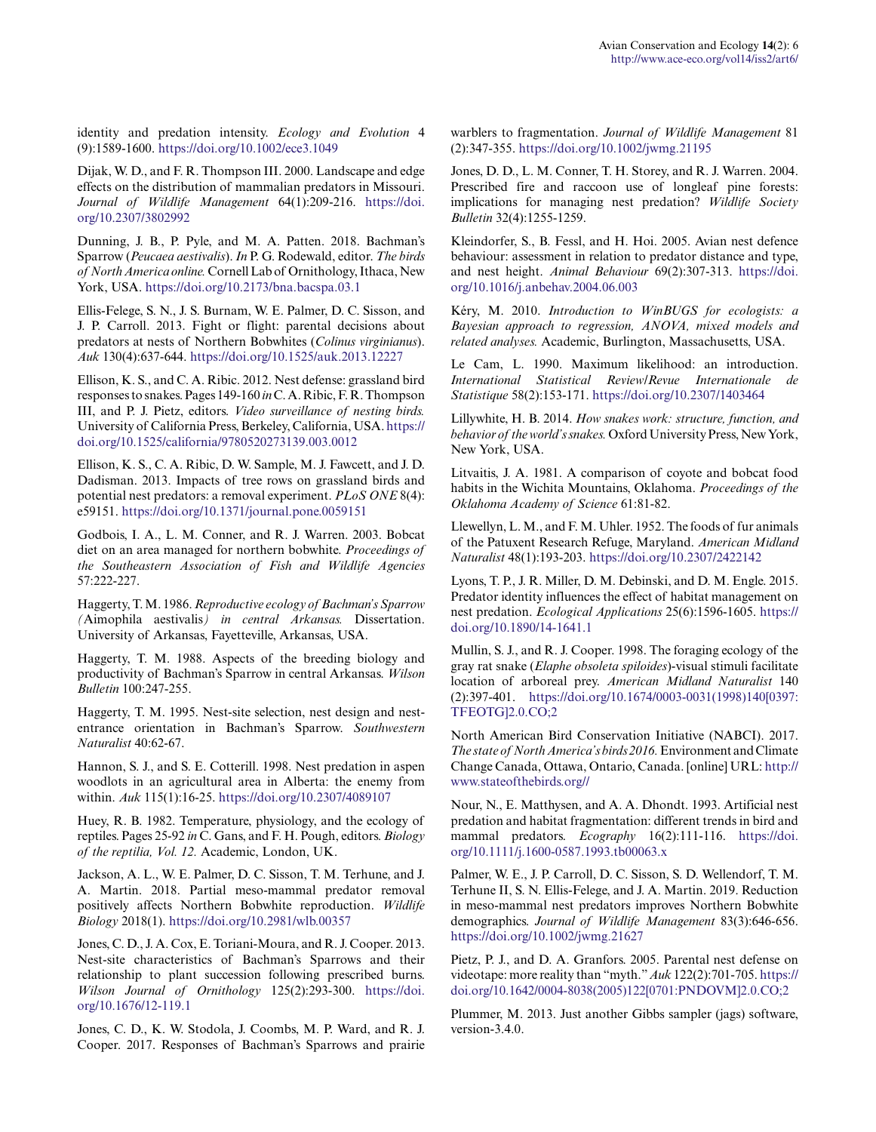identity and predation intensity. *Ecology and Evolution* 4 (9):1589-1600. <https://doi.org/10.1002/ece3.1049>

Dijak, W. D., and F. R. Thompson III. 2000. Landscape and edge effects on the distribution of mammalian predators in Missouri. *Journal of Wildlife Management* 64(1):209-216. [https://doi.](https://doi.org/10.2307/3802992) [org/10.2307/3802992](https://doi.org/10.2307/3802992) 

Dunning, J. B., P. Pyle, and M. A. Patten. 2018. Bachman's Sparrow (*Peucaea aestivalis*). *In* P. G. Rodewald, editor. *The birds of North America online.* Cornell Lab of Ornithology, Ithaca, New York, USA. <https://doi.org/10.2173/bna.bacspa.03.1>

Ellis-Felege, S. N., J. S. Burnam, W. E. Palmer, D. C. Sisson, and J. P. Carroll. 2013. Fight or flight: parental decisions about predators at nests of Northern Bobwhites (*Colinus virginianus*). *Auk* 130(4):637-644. <https://doi.org/10.1525/auk.2013.12227>

Ellison, K. S., and C. A. Ribic. 2012. Nest defense: grassland bird responses to snakes. Pages 149-160 *in* C. A. Ribic, F. R. Thompson III, and P. J. Pietz, editors. *Video surveillance of nesting birds.* University of California Press, Berkeley, California, USA. [https://](https://doi.org/10.1525/california/9780520273139.003.0012) [doi.org/10.1525/california/9780520273139.003.0012](https://doi.org/10.1525/california/9780520273139.003.0012) 

Ellison, K. S., C. A. Ribic, D. W. Sample, M. J. Fawcett, and J. D. Dadisman. 2013. Impacts of tree rows on grassland birds and potential nest predators: a removal experiment. *PLoS ONE* 8(4): e59151.<https://doi.org/10.1371/journal.pone.0059151>

Godbois, I. A., L. M. Conner, and R. J. Warren. 2003. Bobcat diet on an area managed for northern bobwhite. *Proceedings of the Southeastern Association of Fish and Wildlife Agencies* 57:222-227.

Haggerty, T. M. 1986. *Reproductive ecology of Bachman's Sparrow (*Aimophila aestivalis*) in central Arkansas.* Dissertation. University of Arkansas, Fayetteville, Arkansas, USA.

Haggerty, T. M. 1988. Aspects of the breeding biology and productivity of Bachman's Sparrow in central Arkansas. *Wilson Bulletin* 100:247-255.

Haggerty, T. M. 1995. Nest-site selection, nest design and nestentrance orientation in Bachman's Sparrow. *Southwestern Naturalist* 40:62-67.

Hannon, S. J., and S. E. Cotterill. 1998. Nest predation in aspen woodlots in an agricultural area in Alberta: the enemy from within. *Auk* 115(1):16-25. <https://doi.org/10.2307/4089107>

Huey, R. B. 1982. Temperature, physiology, and the ecology of reptiles. Pages 25-92 *in* C. Gans, and F. H. Pough, editors. *Biology of the reptilia, Vol. 12.* Academic, London, UK.

Jackson, A. L., W. E. Palmer, D. C. Sisson, T. M. Terhune, and J. A. Martin. 2018. Partial meso-mammal predator removal positively affects Northern Bobwhite reproduction. *Wildlife Biology* 2018(1).<https://doi.org/10.2981/wlb.00357>

Jones, C. D., J. A. Cox, E. Toriani-Moura, and R. J. Cooper. 2013. Nest-site characteristics of Bachman's Sparrows and their relationship to plant succession following prescribed burns. *Wilson Journal of Ornithology* 125(2):293-300. [https://doi.](https://doi.org/10.1676/12-119.1) [org/10.1676/12-119.1](https://doi.org/10.1676/12-119.1) 

Jones, C. D., K. W. Stodola, J. Coombs, M. P. Ward, and R. J. Cooper. 2017. Responses of Bachman's Sparrows and prairie warblers to fragmentation. *Journal of Wildlife Management* 81 (2):347-355. <https://doi.org/10.1002/jwmg.21195>

Jones, D. D., L. M. Conner, T. H. Storey, and R. J. Warren. 2004. Prescribed fire and raccoon use of longleaf pine forests: implications for managing nest predation? *Wildlife Society Bulletin* 32(4):1255-1259.

Kleindorfer, S., B. Fessl, and H. Hoi. 2005. Avian nest defence behaviour: assessment in relation to predator distance and type, and nest height. *Animal Behaviour* 69(2):307-313. [https://doi.](https://doi.org/10.1016/j.anbehav.2004.06.003) [org/10.1016/j.anbehav.2004.06.003](https://doi.org/10.1016/j.anbehav.2004.06.003) 

Kéry, M. 2010. *Introduction to WinBUGS for ecologists: a Bayesian approach to regression, ANOVA, mixed models and related analyses.* Academic, Burlington, Massachusetts, USA.

Le Cam, L. 1990. Maximum likelihood: an introduction. *International Statistical Review/Revue Internationale Statistique* 58(2):153-171.<https://doi.org/10.2307/1403464>

Lillywhite, H. B. 2014. *How snakes work: structure, function, and behavior of the world's snakes.* Oxford University Press, New York, New York, USA.

Litvaitis, J. A. 1981. A comparison of coyote and bobcat food habits in the Wichita Mountains, Oklahoma. *Proceedings of the Oklahoma Academy of Science* 61:81-82.

Llewellyn, L. M., and F. M. Uhler. 1952. The foods of fur animals of the Patuxent Research Refuge, Maryland. *American Midland Naturalist* 48(1):193-203. <https://doi.org/10.2307/2422142>

Lyons, T. P., J. R. Miller, D. M. Debinski, and D. M. Engle. 2015. Predator identity influences the effect of habitat management on nest predation. *Ecological Applications* 25(6):1596-1605. [https://](https://doi.org/10.1890/14-1641.1) [doi.org/10.1890/14-1641.1](https://doi.org/10.1890/14-1641.1) 

Mullin, S. J., and R. J. Cooper. 1998. The foraging ecology of the gray rat snake (*Elaphe obsoleta spiloides*)-visual stimuli facilitate location of arboreal prey. *American Midland Naturalist* 140 (2):397-401. [https://doi.org/10.1674/0003-0031\(1998\)140\[0397:](https://doi.org/10.1674/0003-0031(1998)140[0397:TFEOTG]2.0.CO;2) [TFEOTG\]2.0.CO;2](https://doi.org/10.1674/0003-0031(1998)140[0397:TFEOTG]2.0.CO;2) 

North American Bird Conservation Initiative (NABCI). 2017. *The state of North America's birds 2016.* Environment and Climate Change Canada, Ottawa, Ontario, Canada. [online] URL: [http://](http://www.stateofthebirds.org/) [www.stateofthebirds.org//](http://www.stateofthebirds.org/)

Nour, N., E. Matthysen, and A. A. Dhondt. 1993. Artificial nest predation and habitat fragmentation: different trends in bird and mammal predators. *Ecography* 16(2):111-116. [https://doi.](https://doi.org/10.1111/j.1600-0587.1993.tb00063.x) [org/10.1111/j.1600-0587.1993.tb00063.x](https://doi.org/10.1111/j.1600-0587.1993.tb00063.x)

Palmer, W. E., J. P. Carroll, D. C. Sisson, S. D. Wellendorf, T. M. Terhune II, S. N. Ellis-Felege, and J. A. Martin. 2019. Reduction in meso-mammal nest predators improves Northern Bobwhite demographics. *Journal of Wildlife Management* 83(3):646-656. <https://doi.org/10.1002/jwmg.21627>

Pietz, P. J., and D. A. Granfors. 2005. Parental nest defense on videotape: more reality than "myth." *Auk* 122(2):701-705. [https://](https://doi.org/10.1642/0004-8038(2005)122[0701:PNDOVM]2.0.CO;2 ) [doi.org/10.1642/0004-8038\(2005\)122\[0701:PNDOVM\]2.0.CO;2](https://doi.org/10.1642/0004-8038(2005)122[0701:PNDOVM]2.0.CO;2 ) 

Plummer, M. 2013. Just another Gibbs sampler (jags) software, version-3.4.0.